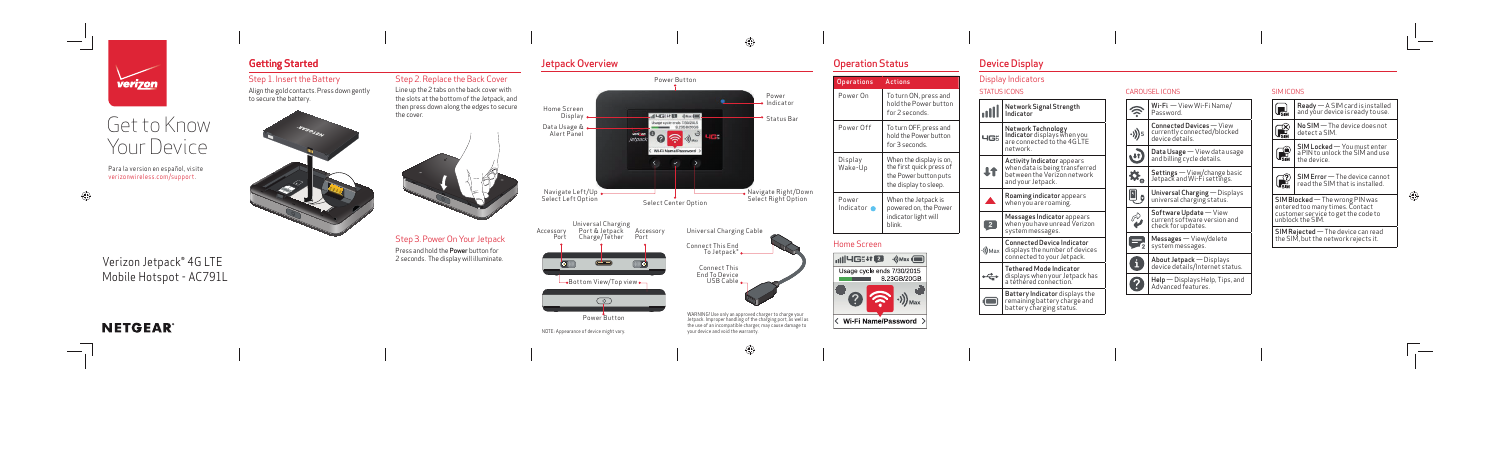

 $\overline{\phantom{a}}$  $\overline{\phantom{a}}$ 

€

**Contract Contract Contract Contract** 



| Power On           | To turn ON, press and<br>hold the Power button                                                        |
|--------------------|-------------------------------------------------------------------------------------------------------|
|                    | for 2 seconds.                                                                                        |
| Power Off          | To turn OFF, press and<br>hold the Power button<br>for 3 seconds.                                     |
| Display<br>Wake-Up | When the display is on,<br>the first quick press of<br>the Power button puts<br>the display to sleep. |
| Power<br>Indicator | When the Jetpack is<br>powered on, the Power<br>indicator light will<br>blink.                        |

< Wi-Fi Name/Password >

# Get to Know Your Device



#### **SIMICONS**

### Device Display

## Jetpack Overview Getting Started Operation Status

 $\bigoplus$ 

| to charge your     |
|--------------------|
| g port, as well as |
| ause damage to     |

#### Step 1. Insert the Battery

Align the gold contacts. Press down gently to secure the battery.





#### Step 2. Replace the Back Cover

Line up the 2 tabs on the back cover with the slots at the bottom of the Jetpack, and then press down along the edges to secure the cover.



### Step 3. Power On Your Jetpack Press and hold the Power button for

2 seconds. The display will illuminate.





⊕

## Verizon Jetpack® 4G LTE Mobile Hotspot - AC791L

## **NETGEAR®**

Para la version en español, visite verizonwireless.com/support.